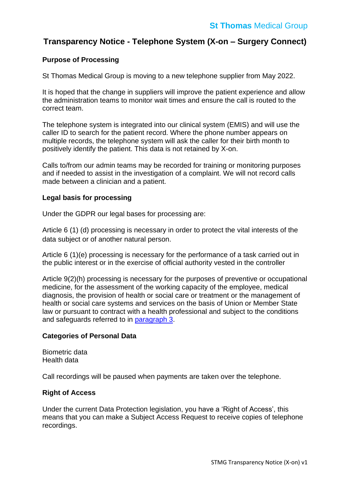# **Transparency Notice - Telephone System (X-on – Surgery Connect)**

## **Purpose of Processing**

St Thomas Medical Group is moving to a new telephone supplier from May 2022.

It is hoped that the change in suppliers will improve the patient experience and allow the administration teams to monitor wait times and ensure the call is routed to the correct team.

The telephone system is integrated into our clinical system (EMIS) and will use the caller ID to search for the patient record. Where the phone number appears on multiple records, the telephone system will ask the caller for their birth month to positively identify the patient. This data is not retained by X-on.

Calls to/from our admin teams may be recorded for training or monitoring purposes and if needed to assist in the investigation of a complaint. We will not record calls made between a clinician and a patient.

### **Legal basis for processing**

Under the GDPR our legal bases for processing are:

Article 6 (1) (d) processing is necessary in order to protect the vital interests of the data subject or of another natural person.

Article 6 (1)(e) processing is necessary for the performance of a task carried out in the public interest or in the exercise of official authority vested in the controller

Article 9(2)(h) processing is necessary for the purposes of preventive or occupational medicine, for the assessment of the working capacity of the employee, medical diagnosis, the provision of health or social care or treatment or the management of health or social care systems and services on the basis of Union or Member State law or pursuant to contract with a health professional and subject to the conditions and safeguards referred to in [paragraph 3.](https://uk-gdpr.org/chapter-2-article-9/)

### **Categories of Personal Data**

Biometric data Health data

Call recordings will be paused when payments are taken over the telephone.

### **Right of Access**

Under the current Data Protection legislation, you have a 'Right of Access', this means that you can make a Subject Access Request to receive copies of telephone recordings.